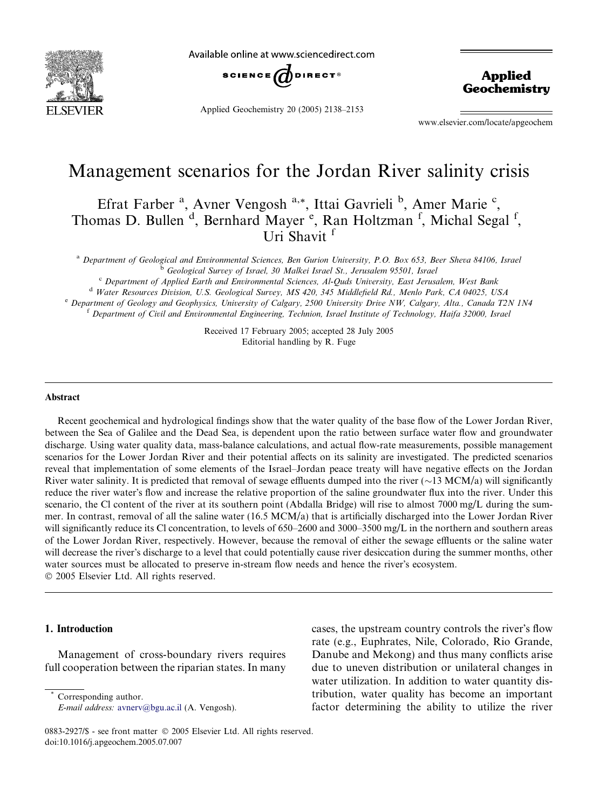

Available online at www.sciencedirect.com



Applied Geochemistry 20 (2005) 2138–2153

Applied **Geochemistry** 

www.elsevier.com/locate/apgeochem

# Management scenarios for the Jordan River salinity crisis

Efrat Farber<sup>a</sup>, Avner Vengosh<sup>a,\*</sup>, Ittai Gavrieli<sup>b</sup>, Amer Marie<sup>c</sup>, Thomas D. Bullen<sup>d</sup>, Bernhard Mayer<sup>e</sup>, Ran Holtzman<sup>f</sup>, Michal Segal<sup>f</sup>, Uri Shavit<sup>f</sup>

<sup>a</sup> Department of Geological and Environmental Sciences, Ben Gurion University, P.O. Box 653, Beer Sheva 84106, Israel <sup>b</sup> Geological Survey of Israel, 30 Malkei Israel St., Jerusalem 95501, Israel

<sup>c</sup> Department of Applied Earth and Environmental Sciences, Al-Quds University, East Jerusalem, West Bank

<sup>d</sup> Water Resources Division, U.S. Geological Survey, MS 420, 345 Middlefield Rd., Menlo Park, CA 04025, USA

<sup>e</sup> Department of Geology and Geophysics, University of Calgary, 2500 University Drive NW, Calgary, Alta., Canada T2N 1N4 <sup>f</sup> Department of Civil and Environmental Engineering, Technion, Israel Institute of Technology, Haifa 32000, Israel

> Received 17 February 2005; accepted 28 July 2005 Editorial handling by R. Fuge

#### Abstract

Recent geochemical and hydrological findings show that the water quality of the base flow of the Lower Jordan River, between the Sea of Galilee and the Dead Sea, is dependent upon the ratio between surface water flow and groundwater discharge. Using water quality data, mass-balance calculations, and actual flow-rate measurements, possible management scenarios for the Lower Jordan River and their potential affects on its salinity are investigated. The predicted scenarios reveal that implementation of some elements of the Israel–Jordan peace treaty will have negative effects on the Jordan River water salinity. It is predicted that removal of sewage effluents dumped into the river  $(\sim 13 \text{ MCM}/a)$  will significantly reduce the river water's flow and increase the relative proportion of the saline groundwater flux into the river. Under this scenario, the Cl content of the river at its southern point (Abdalla Bridge) will rise to almost 7000 mg/L during the summer. In contrast, removal of all the saline water (16.5 MCM/a) that is artificially discharged into the Lower Jordan River will significantly reduce its Cl concentration, to levels of 650–2600 and 3000–3500 mg/L in the northern and southern areas of the Lower Jordan River, respectively. However, because the removal of either the sewage effluents or the saline water will decrease the river's discharge to a level that could potentially cause river desiccation during the summer months, other water sources must be allocated to preserve in-stream flow needs and hence the river's ecosystem.

2005 Elsevier Ltd. All rights reserved.

# 1. Introduction

Management of cross-boundary rivers requires full cooperation between the riparian states. In many cases, the upstream country controls the river's flow rate (e.g., Euphrates, Nile, Colorado, Rio Grande, Danube and Mekong) and thus many conflicts arise due to uneven distribution or unilateral changes in water utilization. In addition to water quantity distribution, water quality has become an important factor determining the ability to utilize the river

Corresponding author. E-mail address: [avnerv@bgu.ac.il](mailto:avnerv@bgu.ac.il) (A. Vengosh).

<sup>0883-2927/\$ -</sup> see front matter © 2005 Elsevier Ltd. All rights reserved. doi:10.1016/j.apgeochem.2005.07.007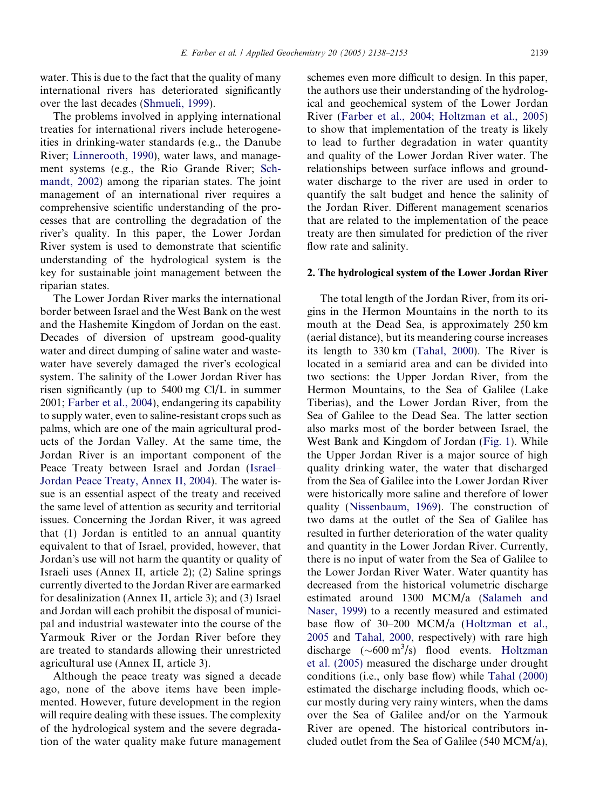water. This is due to the fact that the quality of many international rivers has deteriorated significantly over the last decades ([Shmueli, 1999](#page-15-0)).

The problems involved in applying international treaties for international rivers include heterogeneities in drinking-water standards (e.g., the Danube River; [Linnerooth, 1990\)](#page-15-0), water laws, and management systems (e.g., the Rio Grande River; [Sch](#page-15-0)[mandt, 2002](#page-15-0)) among the riparian states. The joint management of an international river requires a comprehensive scientific understanding of the processes that are controlling the degradation of the river's quality. In this paper, the Lower Jordan River system is used to demonstrate that scientific understanding of the hydrological system is the key for sustainable joint management between the riparian states.

The Lower Jordan River marks the international border between Israel and the West Bank on the west and the Hashemite Kingdom of Jordan on the east. Decades of diversion of upstream good-quality water and direct dumping of saline water and wastewater have severely damaged the river's ecological system. The salinity of the Lower Jordan River has risen significantly (up to 5400 mg Cl/L in summer 2001; [Farber et al., 2004](#page-15-0)), endangering its capability to supply water, even to saline-resistant crops such as palms, which are one of the main agricultural products of the Jordan Valley. At the same time, the Jordan River is an important component of the Peace Treaty between Israel and Jordan [\(Israel–](#page-15-0) [Jordan Peace Treaty, Annex II, 2004\)](#page-15-0). The water issue is an essential aspect of the treaty and received the same level of attention as security and territorial issues. Concerning the Jordan River, it was agreed that (1) Jordan is entitled to an annual quantity equivalent to that of Israel, provided, however, that Jordan's use will not harm the quantity or quality of Israeli uses (Annex II, article 2); (2) Saline springs currently diverted to the Jordan River are earmarked for desalinization (Annex II, article 3); and (3) Israel and Jordan will each prohibit the disposal of municipal and industrial wastewater into the course of the Yarmouk River or the Jordan River before they are treated to standards allowing their unrestricted agricultural use (Annex II, article 3).

Although the peace treaty was signed a decade ago, none of the above items have been implemented. However, future development in the region will require dealing with these issues. The complexity of the hydrological system and the severe degradation of the water quality make future management schemes even more difficult to design. In this paper, the authors use their understanding of the hydrological and geochemical system of the Lower Jordan River [\(Farber et al., 2004; Holtzman et al., 2005\)](#page-15-0) to show that implementation of the treaty is likely to lead to further degradation in water quantity and quality of the Lower Jordan River water. The relationships between surface inflows and groundwater discharge to the river are used in order to quantify the salt budget and hence the salinity of the Jordan River. Different management scenarios that are related to the implementation of the peace treaty are then simulated for prediction of the river flow rate and salinity.

## 2. The hydrological system of the Lower Jordan River

The total length of the Jordan River, from its origins in the Hermon Mountains in the north to its mouth at the Dead Sea, is approximately 250 km (aerial distance), but its meandering course increases its length to 330 km [\(Tahal, 2000\)](#page-15-0). The River is located in a semiarid area and can be divided into two sections: the Upper Jordan River, from the Hermon Mountains, to the Sea of Galilee (Lake Tiberias), and the Lower Jordan River, from the Sea of Galilee to the Dead Sea. The latter section also marks most of the border between Israel, the West Bank and Kingdom of Jordan ([Fig. 1\)](#page-2-0). While the Upper Jordan River is a major source of high quality drinking water, the water that discharged from the Sea of Galilee into the Lower Jordan River were historically more saline and therefore of lower quality ([Nissenbaum, 1969\)](#page-15-0). The construction of two dams at the outlet of the Sea of Galilee has resulted in further deterioration of the water quality and quantity in the Lower Jordan River. Currently, there is no input of water from the Sea of Galilee to the Lower Jordan River Water. Water quantity has decreased from the historical volumetric discharge estimated around 1300 MCM/a [\(Salameh and](#page-15-0) [Naser, 1999](#page-15-0)) to a recently measured and estimated base flow of 30–200 MCM/a [\(Holtzman et al.,](#page-15-0) [2005](#page-15-0) and [Tahal, 2000](#page-15-0), respectively) with rare high discharge  $({\sim}600 \text{ m}^3/\text{s})$  flood events. [Holtzman](#page-15-0) [et al. \(2005\)](#page-15-0) measured the discharge under drought conditions (i.e., only base flow) while [Tahal \(2000\)](#page-15-0) estimated the discharge including floods, which occur mostly during very rainy winters, when the dams over the Sea of Galilee and/or on the Yarmouk River are opened. The historical contributors included outlet from the Sea of Galilee (540 MCM/a),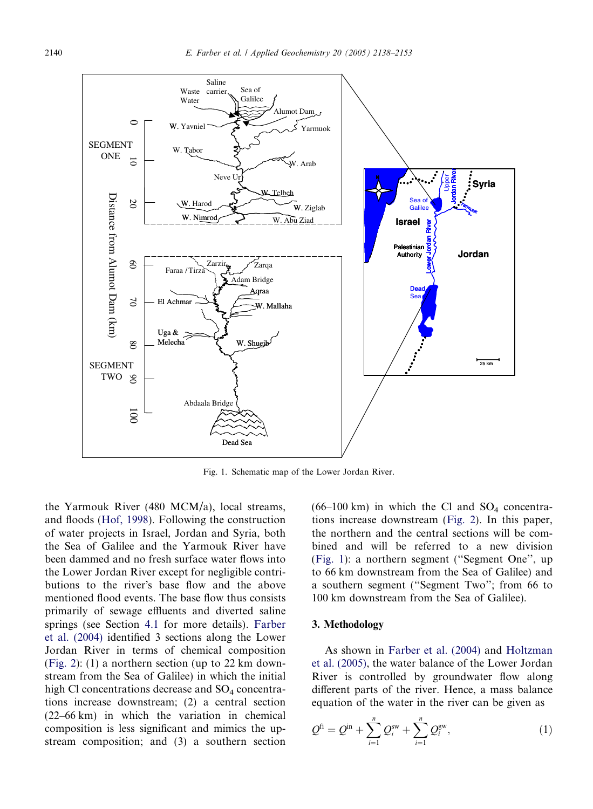<span id="page-2-0"></span>

Fig. 1. Schematic map of the Lower Jordan River.

the Yarmouk River (480 MCM/a), local streams, and floods [\(Hof, 1998](#page-15-0)). Following the construction of water projects in Israel, Jordan and Syria, both the Sea of Galilee and the Yarmouk River have been dammed and no fresh surface water flows into the Lower Jordan River except for negligible contributions to the river's base flow and the above mentioned flood events. The base flow thus consists primarily of sewage effluents and diverted saline springs (see Section [4.1](#page-4-0) for more details). [Farber](#page-15-0) [et al. \(2004\)](#page-15-0) identified 3 sections along the Lower Jordan River in terms of chemical composition ([Fig. 2\)](#page-3-0): (1) a northern section (up to 22 km downstream from the Sea of Galilee) in which the initial high Cl concentrations decrease and  $SO_4$  concentrations increase downstream; (2) a central section (22–66 km) in which the variation in chemical composition is less significant and mimics the upstream composition; and (3) a southern section

 $(66-100 \text{ km})$  in which the Cl and SO<sub>4</sub> concentrations increase downstream [\(Fig. 2](#page-3-0)). In this paper, the northern and the central sections will be combined and will be referred to a new division (Fig. 1): a northern segment (''Segment One'', up to 66 km downstream from the Sea of Galilee) and a southern segment (''Segment Two''; from 66 to 100 km downstream from the Sea of Galilee).

## 3. Methodology

As shown in [Farber et al. \(2004\)](#page-15-0) and [Holtzman](#page-15-0) [et al. \(2005\),](#page-15-0) the water balance of the Lower Jordan River is controlled by groundwater flow along different parts of the river. Hence, a mass balance equation of the water in the river can be given as

$$
Q^{fi} = Q^{in} + \sum_{i=1}^{n} Q_i^{sw} + \sum_{i=1}^{n} Q_i^{gw},
$$
 (1)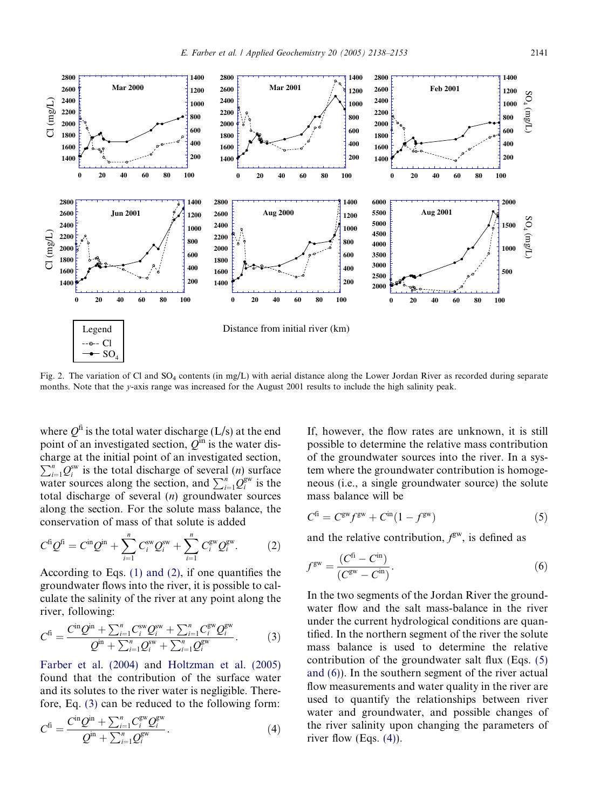<span id="page-3-0"></span>

Fig. 2. The variation of Cl and SO<sub>4</sub> contents (in mg/L) with aerial distance along the Lower Jordan River as recorded during separate months. Note that the y-axis range was increased for the August 2001 results to include the high salinity peak.

where  $Q^{\text{fi}}$  is the total water discharge (L/s) at the end point of an investigated section,  $Q^{\text{in}}$  is the water discharge at the initial point of an investigated section,  $\sum_{i=1}^{n} Q_i^{\text{sw}}$  is the total discharge of several (*n*) surface  $\sum_{i=1}^{n} \mathcal{Q}_i^{(i)}$  is the text discharge of several  $\sum_{i=1}^{n} Q_i^{g_w}$  is the total discharge of several  $(n)$  groundwater sources along the section. For the solute mass balance, the conservation of mass of that solute is added

$$
C^{f i} Q^{f i} = C^{i n} Q^{j n} + \sum_{i=1}^{n} C^{s w}_{i} Q^{s w}_{i} + \sum_{i=1}^{n} C^{s w}_{i} Q^{s w}_{i}.
$$
 (2)

According to Eqs. [\(1\) and \(2\),](#page-2-0) if one quantifies the groundwater flows into the river, it is possible to calculate the salinity of the river at any point along the river, following:

$$
C^{fi} = \frac{C^{in} Q^{in} + \sum_{i=1}^{n} C_i^{sw} Q_i^{sw} + \sum_{i=1}^{n} C_i^{gw} Q_i^{gw}}{Q^{in} + \sum_{i=1}^{n} Q_i^{sw} + \sum_{i=1}^{n} Q_i^{gw}}.
$$
(3)

[Farber et al. \(2004\)](#page-15-0) and [Holtzman et al. \(2005\)](#page-15-0) found that the contribution of the surface water and its solutes to the river water is negligible. Therefore, Eq. (3) can be reduced to the following form:

$$
C^{fi} = \frac{C^{in} Q^{in} + \sum_{i=1}^{n} C_i^{gw} Q_i^{gw}}{Q^{in} + \sum_{i=1}^{n} Q_i^{gw}}.
$$
\n(4)

If, however, the flow rates are unknown, it is still possible to determine the relative mass contribution of the groundwater sources into the river. In a system where the groundwater contribution is homogeneous (i.e., a single groundwater source) the solute mass balance will be

$$
Cfi = Cgw fgw + Cin (1 - fgw)
$$
\n(5)

and the relative contribution,  $f<sup>gw</sup>$ , is defined as

$$
f^{\rm gw} = \frac{(C^{\rm fi} - C^{\rm in})}{(C^{\rm gw} - C^{\rm in})}.
$$
 (6)

In the two segments of the Jordan River the groundwater flow and the salt mass-balance in the river under the current hydrological conditions are quantified. In the northern segment of the river the solute mass balance is used to determine the relative contribution of the groundwater salt flux (Eqs. (5) and (6)). In the southern segment of the river actual flow measurements and water quality in the river are used to quantify the relationships between river water and groundwater, and possible changes of the river salinity upon changing the parameters of river flow (Eqs.  $(4)$ ).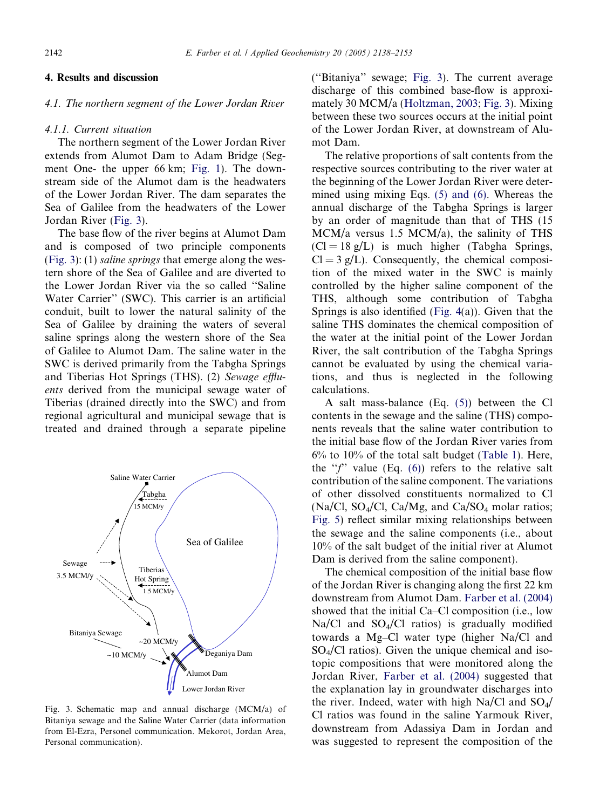# <span id="page-4-0"></span>4. Results and discussion

# 4.1. The northern segment of the Lower Jordan River

#### 4.1.1. Current situation

The northern segment of the Lower Jordan River extends from Alumot Dam to Adam Bridge (Segment One- the upper 66 km; [Fig. 1\)](#page-2-0). The downstream side of the Alumot dam is the headwaters of the Lower Jordan River. The dam separates the Sea of Galilee from the headwaters of the Lower Jordan River (Fig. 3).

The base flow of the river begins at Alumot Dam and is composed of two principle components (Fig. 3): (1) saline springs that emerge along the western shore of the Sea of Galilee and are diverted to the Lower Jordan River via the so called ''Saline Water Carrier'' (SWC). This carrier is an artificial conduit, built to lower the natural salinity of the Sea of Galilee by draining the waters of several saline springs along the western shore of the Sea of Galilee to Alumot Dam. The saline water in the SWC is derived primarily from the Tabgha Springs and Tiberias Hot Springs (THS). (2) Sewage effluents derived from the municipal sewage water of Tiberias (drained directly into the SWC) and from regional agricultural and municipal sewage that is treated and drained through a separate pipeline



Fig. 3. Schematic map and annual discharge (MCM/a) of Bitaniya sewage and the Saline Water Carrier (data information from El-Ezra, Personel communication. Mekorot, Jordan Area, Personal communication).

(''Bitaniya'' sewage; Fig. 3). The current average discharge of this combined base-flow is approximately 30 MCM/a ([Holtzman, 2003;](#page-15-0) Fig. 3). Mixing between these two sources occurs at the initial point of the Lower Jordan River, at downstream of Alumot Dam.

The relative proportions of salt contents from the respective sources contributing to the river water at the beginning of the Lower Jordan River were determined using mixing Eqs. [\(5\) and \(6\).](#page-3-0) Whereas the annual discharge of the Tabgha Springs is larger by an order of magnitude than that of THS (15 MCM/a versus 1.5 MCM/a), the salinity of THS  $(C = 18 \text{ g/L})$  is much higher (Tabgha Springs,  $Cl = 3 g/L$ ). Consequently, the chemical composition of the mixed water in the SWC is mainly controlled by the higher saline component of the THS, although some contribution of Tabgha Springs is also identified [\(Fig. 4](#page-5-0)(a)). Given that the saline THS dominates the chemical composition of the water at the initial point of the Lower Jordan River, the salt contribution of the Tabgha Springs cannot be evaluated by using the chemical variations, and thus is neglected in the following calculations.

A salt mass-balance (Eq. [\(5\)\)](#page-3-0) between the Cl contents in the sewage and the saline (THS) components reveals that the saline water contribution to the initial base flow of the Jordan River varies from 6% to 10% of the total salt budget [\(Table 1\)](#page-6-0). Here, the " $f$ " value (Eq. [\(6\)\)](#page-3-0) refers to the relative salt contribution of the saline component. The variations of other dissolved constituents normalized to Cl (Na/Cl, SO<sub>4</sub>/Cl, Ca/Mg, and Ca/SO<sub>4</sub> molar ratios; [Fig. 5](#page-7-0)) reflect similar mixing relationships between the sewage and the saline components (i.e., about 10% of the salt budget of the initial river at Alumot Dam is derived from the saline component).

The chemical composition of the initial base flow of the Jordan River is changing along the first 22 km downstream from Alumot Dam. [Farber et al. \(2004\)](#page-15-0) showed that the initial Ca–Cl composition (i.e., low  $Na/Cl$  and  $SO<sub>4</sub>/Cl$  ratios) is gradually modified towards a Mg–Cl water type (higher Na/Cl and  $SO_4/Cl$  ratios). Given the unique chemical and isotopic compositions that were monitored along the Jordan River, [Farber et al. \(2004\)](#page-15-0) suggested that the explanation lay in groundwater discharges into the river. Indeed, water with high Na/Cl and  $SO_4/$ Cl ratios was found in the saline Yarmouk River, downstream from Adassiya Dam in Jordan and was suggested to represent the composition of the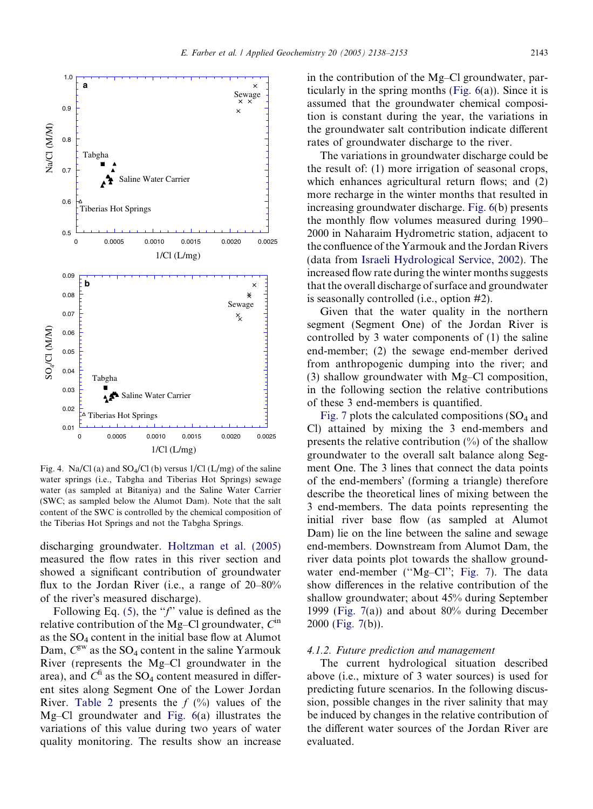<span id="page-5-0"></span>

Fig. 4. Na/Cl (a) and  $SO_4/Cl$  (b) versus  $1/Cl$  (L/mg) of the saline water springs (i.e., Tabgha and Tiberias Hot Springs) sewage water (as sampled at Bitaniya) and the Saline Water Carrier (SWC; as sampled below the Alumot Dam). Note that the salt content of the SWC is controlled by the chemical composition of the Tiberias Hot Springs and not the Tabgha Springs.

discharging groundwater. [Holtzman et al. \(2005\)](#page-15-0) measured the flow rates in this river section and showed a significant contribution of groundwater flux to the Jordan River (i.e., a range of 20–80% of the river's measured discharge).

Following Eq. [\(5\),](#page-3-0) the  $\mathscr{F}'$  value is defined as the relative contribution of the Mg–Cl groundwater,  $C^{in}$ as the  $SO_4$  content in the initial base flow at Alumot Dam,  $C^{\text{gw}}$  as the SO<sub>4</sub> content in the saline Yarmouk River (represents the Mg–Cl groundwater in the area), and  $C^{\text{fi}}$  as the SO<sub>4</sub> content measured in different sites along Segment One of the Lower Jordan River. [Table 2](#page-7-0) presents the  $f(\%)$  values of the Mg–Cl groundwater and [Fig. 6](#page-8-0)(a) illustrates the variations of this value during two years of water quality monitoring. The results show an increase

in the contribution of the Mg–Cl groundwater, particularly in the spring months (Fig.  $6(a)$ ). Since it is assumed that the groundwater chemical composition is constant during the year, the variations in the groundwater salt contribution indicate different rates of groundwater discharge to the river.

The variations in groundwater discharge could be the result of: (1) more irrigation of seasonal crops, which enhances agricultural return flows; and (2) more recharge in the winter months that resulted in increasing groundwater discharge. [Fig. 6\(](#page-8-0)b) presents the monthly flow volumes measured during 1990– 2000 in Naharaim Hydrometric station, adjacent to the confluence of the Yarmouk and the Jordan Rivers (data from [Israeli Hydrological Service, 2002](#page-15-0)). The increased flow rate during the winter months suggests that the overall discharge of surface and groundwater is seasonally controlled (i.e., option #2).

Given that the water quality in the northern segment (Segment One) of the Jordan River is controlled by 3 water components of (1) the saline end-member; (2) the sewage end-member derived from anthropogenic dumping into the river; and (3) shallow groundwater with Mg–Cl composition, in the following section the relative contributions of these 3 end-members is quantified.

[Fig. 7](#page-9-0) plots the calculated compositions  $SO_4$  and Cl) attained by mixing the 3 end-members and presents the relative contribution  $(\%)$  of the shallow groundwater to the overall salt balance along Segment One. The 3 lines that connect the data points of the end-members' (forming a triangle) therefore describe the theoretical lines of mixing between the 3 end-members. The data points representing the initial river base flow (as sampled at Alumot Dam) lie on the line between the saline and sewage end-members. Downstream from Alumot Dam, the river data points plot towards the shallow ground-water end-member ("Mg-Cl"; [Fig. 7](#page-9-0)). The data show differences in the relative contribution of the shallow groundwater; about 45% during September 1999 ([Fig. 7\(](#page-9-0)a)) and about 80% during December 2000 ([Fig. 7\(](#page-9-0)b)).

# 4.1.2. Future prediction and management

The current hydrological situation described above (i.e., mixture of 3 water sources) is used for predicting future scenarios. In the following discussion, possible changes in the river salinity that may be induced by changes in the relative contribution of the different water sources of the Jordan River are evaluated.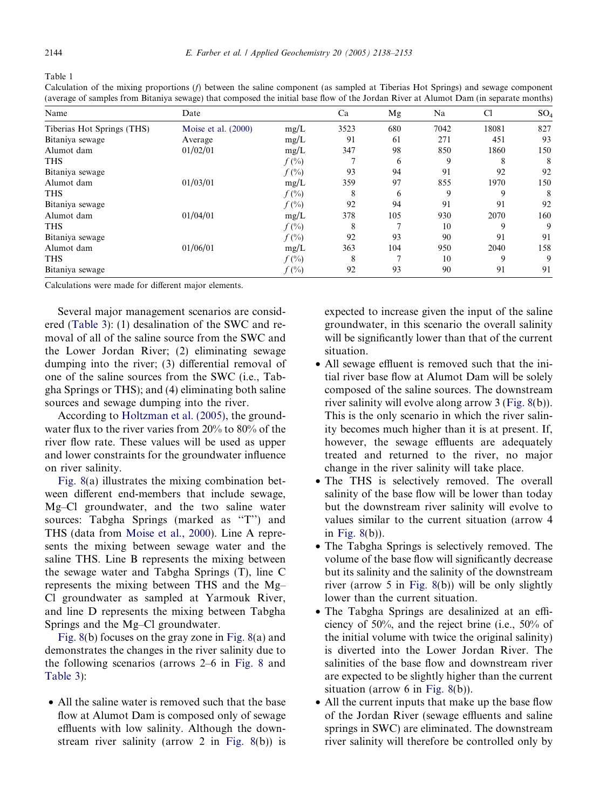<span id="page-6-0"></span>Table 1

Calculation of the mixing proportions (f) between the saline component (as sampled at Tiberias Hot Springs) and sewage component (average of samples from Bitaniya sewage) that composed the initial base flow of the Jordan River at Alumot Dam (in separate months)

| Name                       | Date                  |          | Ca   | Mg  | Na   | C1    | SO <sub>4</sub> |
|----------------------------|-----------------------|----------|------|-----|------|-------|-----------------|
| Tiberias Hot Springs (THS) | Moise et al. $(2000)$ | mg/L     | 3523 | 680 | 7042 | 18081 | 827             |
| Bitaniya sewage            | Average               | mg/L     | 91   | 61  | 271  | 451   | 93              |
| Alumot dam                 | 01/02/01              | mg/L     | 347  | 98  | 850  | 1860  | 150             |
| <b>THS</b>                 |                       | $f(\% )$ |      | 6   | 9    | 8     | 8               |
| Bitaniya sewage            |                       | $f(\% )$ | 93   | 94  | 91   | 92    | 92              |
| Alumot dam                 | 01/03/01              | mg/L     | 359  | 97  | 855  | 1970  | 150             |
| <b>THS</b>                 |                       | $f(\% )$ | 8    | 6   | 9    | 9     | 8               |
| Bitaniya sewage            |                       | $f(\%)$  | 92   | 94  | 91   | 91    | 92              |
| Alumot dam                 | 01/04/01              | mg/L     | 378  | 105 | 930  | 2070  | 160             |
| <b>THS</b>                 |                       | $f(\% )$ | 8    | π   | 10   | 9     | 9               |
| Bitaniya sewage            |                       | $f(\%)$  | 92   | 93  | 90   | 91    | 91              |
| Alumot dam                 | 01/06/01              | mg/L     | 363  | 104 | 950  | 2040  | 158             |
| <b>THS</b>                 |                       | $f(\% )$ | 8    | Ξ   | 10   | 9     | 9               |
| Bitaniya sewage            |                       | $f(\%)$  | 92   | 93  | 90   | 91    | 91              |

Calculations were made for different major elements.

Several major management scenarios are considered ([Table 3](#page-10-0)): (1) desalination of the SWC and removal of all of the saline source from the SWC and the Lower Jordan River; (2) eliminating sewage dumping into the river; (3) differential removal of one of the saline sources from the SWC (i.e., Tabgha Springs or THS); and (4) eliminating both saline sources and sewage dumping into the river.

According to [Holtzman et al. \(2005\)](#page-15-0), the groundwater flux to the river varies from 20% to 80% of the river flow rate. These values will be used as upper and lower constraints for the groundwater influence on river salinity.

[Fig. 8\(](#page-11-0)a) illustrates the mixing combination between different end-members that include sewage, Mg–Cl groundwater, and the two saline water sources: Tabgha Springs (marked as "T") and THS (data from [Moise et al., 2000](#page-15-0)). Line A represents the mixing between sewage water and the saline THS. Line B represents the mixing between the sewage water and Tabgha Springs (T), line C represents the mixing between THS and the Mg– Cl groundwater as sampled at Yarmouk River, and line D represents the mixing between Tabgha Springs and the Mg–Cl groundwater.

[Fig. 8\(](#page-11-0)b) focuses on the gray zone in [Fig. 8](#page-11-0)(a) and demonstrates the changes in the river salinity due to the following scenarios (arrows 2–6 in [Fig. 8](#page-11-0) and [Table 3\)](#page-10-0):

• All the saline water is removed such that the base flow at Alumot Dam is composed only of sewage effluents with low salinity. Although the downstream river salinity (arrow 2 in [Fig. 8\(](#page-11-0)b)) is expected to increase given the input of the saline groundwater, in this scenario the overall salinity will be significantly lower than that of the current situation.

- All sewage effluent is removed such that the initial river base flow at Alumot Dam will be solely composed of the saline sources. The downstream river salinity will evolve along arrow 3 ([Fig. 8](#page-11-0)(b)). This is the only scenario in which the river salinity becomes much higher than it is at present. If, however, the sewage effluents are adequately treated and returned to the river, no major change in the river salinity will take place.
- The THS is selectively removed. The overall salinity of the base flow will be lower than today but the downstream river salinity will evolve to values similar to the current situation (arrow 4 in [Fig. 8](#page-11-0)(b)).
- The Tabgha Springs is selectively removed. The volume of the base flow will significantly decrease but its salinity and the salinity of the downstream river (arrow 5 in [Fig. 8\(](#page-11-0)b)) will be only slightly lower than the current situation.
- The Tabgha Springs are desalinized at an efficiency of 50%, and the reject brine (i.e., 50% of the initial volume with twice the original salinity) is diverted into the Lower Jordan River. The salinities of the base flow and downstream river are expected to be slightly higher than the current situation (arrow 6 in [Fig. 8](#page-11-0)(b)).
- All the current inputs that make up the base flow of the Jordan River (sewage effluents and saline springs in SWC) are eliminated. The downstream river salinity will therefore be controlled only by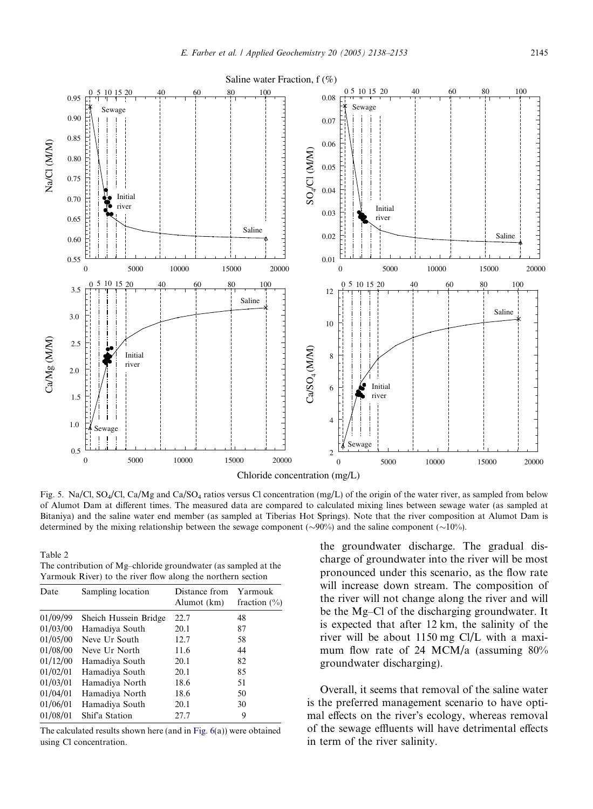<span id="page-7-0"></span>

Fig. 5. Na/Cl, SO<sub>4</sub>/Cl, Ca/Mg and Ca/SO<sub>4</sub> ratios versus Cl concentration (mg/L) of the origin of the water river, as sampled from below of Alumot Dam at different times. The measured data are compared to calculated mixing lines between sewage water (as sampled at Bitaniya) and the saline water end member (as sampled at Tiberias Hot Springs). Note that the river composition at Alumot Dam is determined by the mixing relationship between the sewage component ( $\sim$ 90%) and the saline component ( $\sim$ 10%).

Table 2 The contribution of Mg–chloride groundwater (as sampled at the Yarmouk River) to the river flow along the northern section

| Date     | Sampling location     | Distance from<br>Alumot (km) | Yarmouk<br>fraction $(\% )$ |  |  |  |
|----------|-----------------------|------------------------------|-----------------------------|--|--|--|
| 01/09/99 | Sheich Hussein Bridge | 22.7                         | 48                          |  |  |  |
| 01/03/00 | Hamadiya South        | 20.1                         | 87                          |  |  |  |
| 01/05/00 | Neve Ur South         | 12.7                         | 58                          |  |  |  |
| 01/08/00 | Neve Ur North         | 11.6                         | 44                          |  |  |  |
| 01/12/00 | Hamadiya South        | 20.1                         | 82                          |  |  |  |
| 01/02/01 | Hamadiya South        | 20.1                         | 85                          |  |  |  |
| 01/03/01 | Hamadiya North        | 18.6                         | 51                          |  |  |  |
| 01/04/01 | Hamadiya North        | 18.6                         | 50                          |  |  |  |
| 01/06/01 | Hamadiya South        | 20.1                         | 30                          |  |  |  |
| 01/08/01 | Shif'a Station        | 27.7                         | 9                           |  |  |  |

The calculated results shown here (and in [Fig. 6\(](#page-8-0)a)) were obtained using Cl concentration.

the groundwater discharge. The gradual discharge of groundwater into the river will be most pronounced under this scenario, as the flow rate will increase down stream. The composition of the river will not change along the river and will be the Mg–Cl of the discharging groundwater. It is expected that after 12 km, the salinity of the river will be about 1150 mg Cl/L with a maximum flow rate of 24 MCM/a (assuming 80% groundwater discharging).

Overall, it seems that removal of the saline water is the preferred management scenario to have optimal effects on the river's ecology, whereas removal of the sewage effluents will have detrimental effects in term of the river salinity.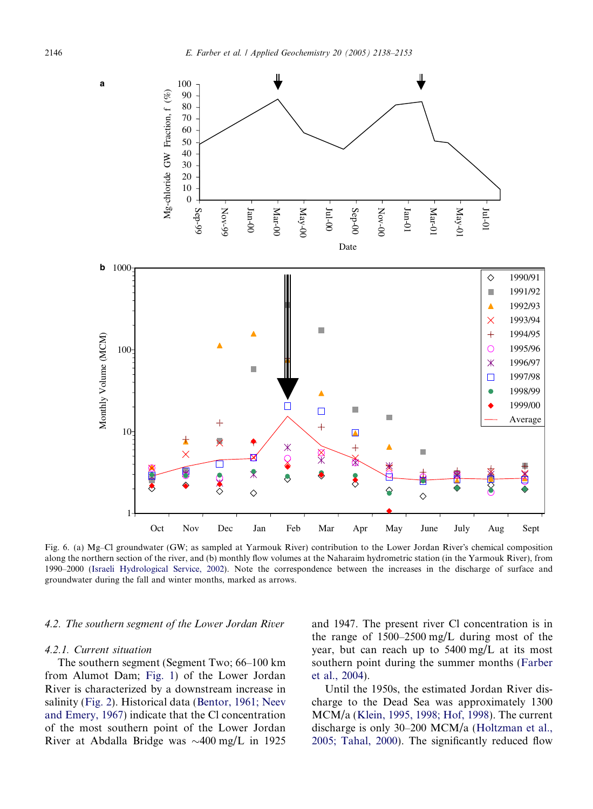<span id="page-8-0"></span>

Fig. 6. (a) Mg–Cl groundwater (GW; as sampled at Yarmouk River) contribution to the Lower Jordan River's chemical composition along the northern section of the river, and (b) monthly flow volumes at the Naharaim hydrometric station (in the Yarmouk River), from 1990–2000 [\(Israeli Hydrological Service, 2002\)](#page-15-0). Note the correspondence between the increases in the discharge of surface and groundwater during the fall and winter months, marked as arrows.

## 4.2. The southern segment of the Lower Jordan River

#### 4.2.1. Current situation

The southern segment (Segment Two; 66–100 km from Alumot Dam; [Fig. 1](#page-2-0)) of the Lower Jordan River is characterized by a downstream increase in salinity ([Fig. 2\)](#page-3-0). Historical data ([Bentor, 1961; Neev](#page-15-0) [and Emery, 1967](#page-15-0)) indicate that the Cl concentration of the most southern point of the Lower Jordan River at Abdalla Bridge was  $\sim$ 400 mg/L in 1925 and 1947. The present river Cl concentration is in the range of 1500–2500 mg/L during most of the year, but can reach up to 5400 mg/L at its most southern point during the summer months [\(Farber](#page-15-0) [et al., 2004\)](#page-15-0).

Until the 1950s, the estimated Jordan River discharge to the Dead Sea was approximately 1300 MCM/a ([Klein, 1995, 1998; Hof, 1998](#page-15-0)). The current discharge is only 30–200 MCM/a [\(Holtzman et al.,](#page-15-0) [2005; Tahal, 2000\)](#page-15-0). The significantly reduced flow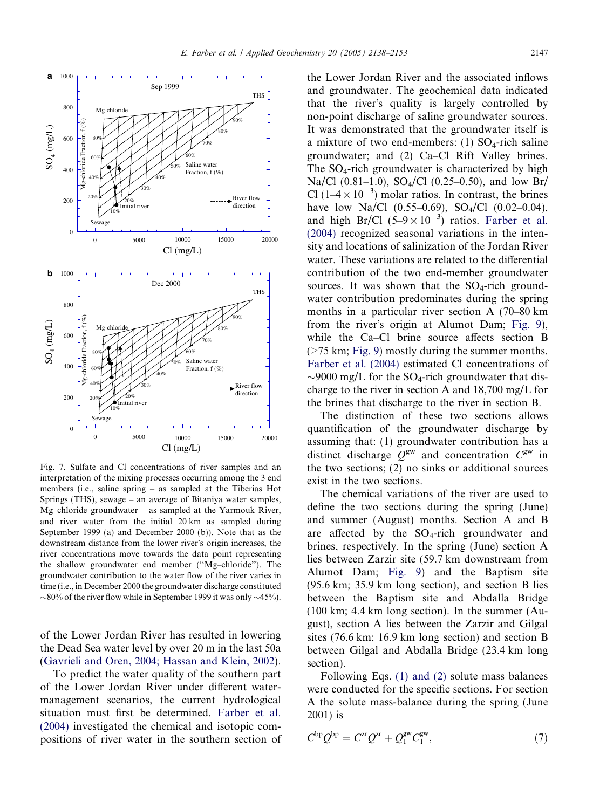<span id="page-9-0"></span>

Fig. 7. Sulfate and Cl concentrations of river samples and an interpretation of the mixing processes occurring among the 3 end members (i.e., saline spring – as sampled at the Tiberias Hot Springs (THS), sewage – an average of Bitaniya water samples, Mg–chloride groundwater – as sampled at the Yarmouk River, and river water from the initial 20 km as sampled during September 1999 (a) and December 2000 (b)). Note that as the downstream distance from the lower river's origin increases, the river concentrations move towards the data point representing the shallow groundwater end member (''Mg–chloride''). The groundwater contribution to the water flow of the river varies in time (i.e., in December 2000 the groundwater discharge constituted  $\sim$ 80% of the river flow while in September 1999 it was only  $\sim$ 45%).

of the Lower Jordan River has resulted in lowering the Dead Sea water level by over 20 m in the last 50a [\(Gavrieli and Oren, 2004; Hassan and Klein, 2002\)](#page-15-0).

To predict the water quality of the southern part of the Lower Jordan River under different watermanagement scenarios, the current hydrological situation must first be determined. [Farber et al.](#page-15-0) [\(2004\)](#page-15-0) investigated the chemical and isotopic compositions of river water in the southern section of the Lower Jordan River and the associated inflows and groundwater. The geochemical data indicated that the river's quality is largely controlled by non-point discharge of saline groundwater sources. It was demonstrated that the groundwater itself is a mixture of two end-members: (1)  $SO_4$ -rich saline groundwater; and (2) Ca–Cl Rift Valley brines. The  $SO_4$ -rich groundwater is characterized by high Na/Cl (0.81–1.0), SO<sub>4</sub>/Cl (0.25–0.50), and low Br/ Cl ( $1-4 \times 10^{-3}$ ) molar ratios. In contrast, the brines have low Na/Cl  $(0.55-0.69)$ , SO<sub>4</sub>/Cl  $(0.02-0.04)$ , and high Br/Cl  $(5-9 \times 10^{-3})$  ratios. [Farber et al.](#page-15-0) [\(2004\)](#page-15-0) recognized seasonal variations in the intensity and locations of salinization of the Jordan River water. These variations are related to the differential contribution of the two end-member groundwater sources. It was shown that the  $SO_4$ -rich groundwater contribution predominates during the spring months in a particular river section A (70–80 km from the river's origin at Alumot Dam; [Fig. 9](#page-12-0)). while the Ca–Cl brine source affects section B (>75 km; [Fig. 9](#page-12-0)) mostly during the summer months. [Farber et al. \(2004\)](#page-15-0) estimated Cl concentrations of  $\sim$ 9000 mg/L for the SO<sub>4</sub>-rich groundwater that discharge to the river in section A and 18,700 mg/L for the brines that discharge to the river in section B.

The distinction of these two sections allows quantification of the groundwater discharge by assuming that: (1) groundwater contribution has a distinct discharge  $Q^{gw}$  and concentration  $C^{gw}$  in the two sections; (2) no sinks or additional sources exist in the two sections.

The chemical variations of the river are used to define the two sections during the spring (June) and summer (August) months. Section A and B are affected by the  $SO_4$ -rich groundwater and brines, respectively. In the spring (June) section A lies between Zarzir site (59.7 km downstream from Alumot Dam; [Fig. 9\)](#page-12-0) and the Baptism site (95.6 km; 35.9 km long section), and section B lies between the Baptism site and Abdalla Bridge (100 km; 4.4 km long section). In the summer (August), section A lies between the Zarzir and Gilgal sites (76.6 km; 16.9 km long section) and section B between Gilgal and Abdalla Bridge (23.4 km long section).

Following Eqs. [\(1\) and \(2\)](#page-2-0) solute mass balances were conducted for the specific sections. For section A the solute mass-balance during the spring (June 2001) is

$$
C^{\rm bp} Q^{\rm bp} = C^{\rm zr} Q^{\rm zr} + Q_1^{\rm gw} C_1^{\rm gw},\tag{7}
$$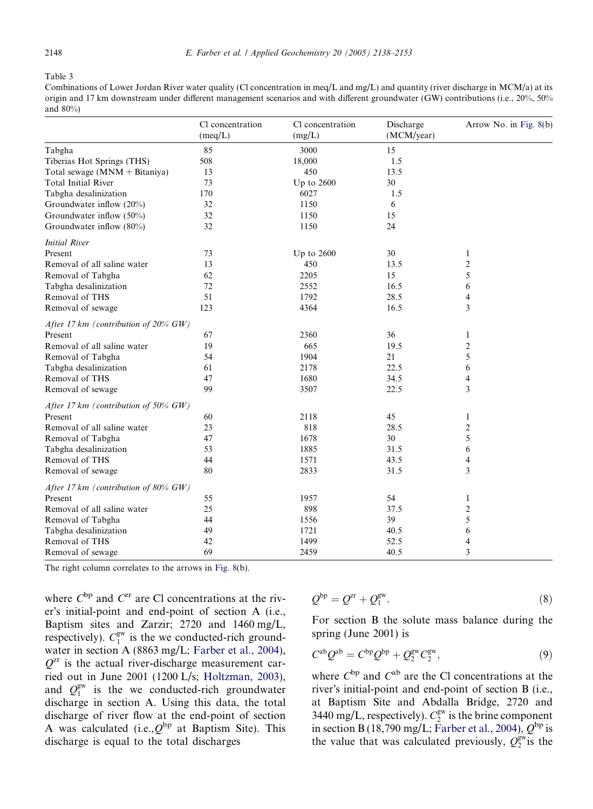#### <span id="page-10-0"></span>Table 3

Combinations of Lower Jordan River water quality (Cl concentration in meq/L and mg/L) and quantity (river discharge in MCM/a) at its origin and 17 km downstream under different management scenarios and with different groundwater (GW) contributions (i.e., 20%, 50% and 80%)

The right column correlates to the arrows in [Fig. 8](#page-11-0)(b).

where  $C^{bp}$  and  $C^{zr}$  are Cl concentrations at the river's initial-point and end-point of section A (i.e., Baptism sites and Zarzir; 2720 and 1460 mg/L, respectively).  $C_1^{\text{gw}}$  is the we conducted-rich groundwater in section A (8863 mg/L; [Farber et al., 2004](#page-15-0)),  $Q<sup>zr</sup>$  is the actual river-discharge measurement carried out in June 2001 (1200 L/s; [Holtzman, 2003](#page-15-0)), and  $Q_1^{\text{gw}}$  is the we conducted-rich groundwater discharge in section A. Using this data, the total discharge of river flow at the end-point of section A was calculated (i.e.,  $Q^{bp}$  at Baptism Site). This discharge is equal to the total discharges

$$
Q^{\rm bp} = Q^{\rm zr} + Q_1^{\rm gw}.\tag{8}
$$

For section B the solute mass balance during the spring (June 2001) is

$$
C^{ab}Q^{ab} = C^{bp}Q^{bp} + Q_2^{gw}C_2^{gw},\qquad(9)
$$

where  $C^{bp}$  and  $C^{ab}$  are the Cl concentrations at the river's initial-point and end-point of section B (i.e., at Baptism Site and Abdalla Bridge, 2720 and 3440 mg/L, respectively).  $C_2^{\text{gw}}$  is the brine component in section B (18,790 mg/L; [Farber et al., 2004\)](#page-15-0),  $Q^{\text{bp}}$  is the value that was calculated previously,  $Q_2^{\text{gw}}$  is the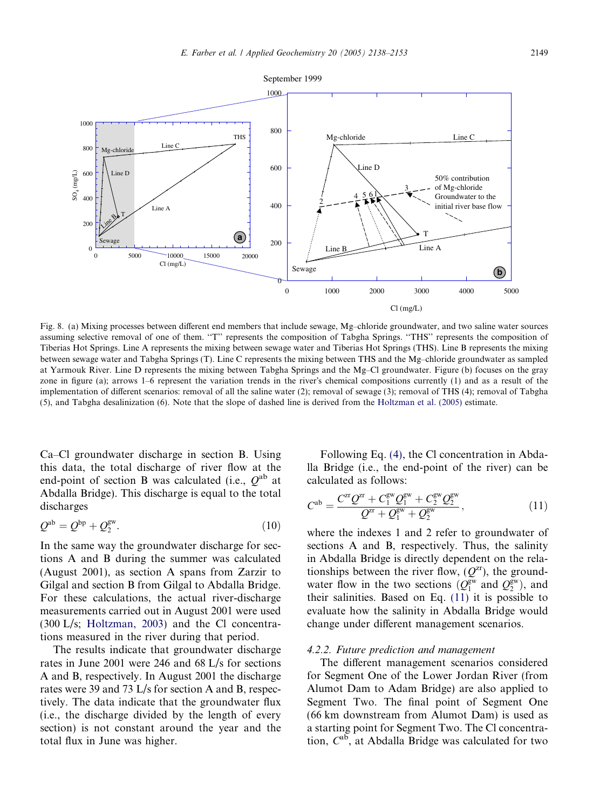<span id="page-11-0"></span>

Cl (mg/L)

Fig. 8. (a) Mixing processes between different end members that include sewage, Mg–chloride groundwater, and two saline water sources assuming selective removal of one of them. "T" represents the composition of Tabgha Springs. "THS" represents the composition of Tiberias Hot Springs. Line A represents the mixing between sewage water and Tiberias Hot Springs (THS). Line B represents the mixing between sewage water and Tabgha Springs (T). Line C represents the mixing between THS and the Mg–chloride groundwater as sampled at Yarmouk River. Line D represents the mixing between Tabgha Springs and the Mg–Cl groundwater. Figure (b) focuses on the gray zone in figure (a); arrows  $1-6$  represent the variation trends in the river's chemical compositions currently (1) and as a result of the implementation of different scenarios: removal of all the saline water (2); removal of sewage (3); removal of THS (4); removal of Tabgha (5), and Tabgha desalinization (6). Note that the slope of dashed line is derived from the [Holtzman et al. \(2005\)](#page-15-0) estimate.

Ca–Cl groundwater discharge in section B. Using this data, the total discharge of river flow at the end-point of section B was calculated (i.e.,  $Q^{ab}$  at Abdalla Bridge). This discharge is equal to the total discharges

$$
\mathcal{Q}^{\text{ab}} = \mathcal{Q}^{\text{bp}} + \mathcal{Q}_2^{\text{gw}}.\tag{10}
$$

In the same way the groundwater discharge for sections A and B during the summer was calculated (August 2001), as section A spans from Zarzir to Gilgal and section B from Gilgal to Abdalla Bridge. For these calculations, the actual river-discharge measurements carried out in August 2001 were used (300 L/s; [Holtzman, 2003](#page-15-0)) and the Cl concentrations measured in the river during that period.

The results indicate that groundwater discharge rates in June 2001 were 246 and 68 L/s for sections A and B, respectively. In August 2001 the discharge rates were 39 and 73 L/s for section A and B, respectively. The data indicate that the groundwater flux (i.e., the discharge divided by the length of every section) is not constant around the year and the total flux in June was higher.

Following Eq. [\(4\)](#page-3-0), the Cl concentration in Abdalla Bridge (i.e., the end-point of the river) can be calculated as follows:

$$
C^{ab} = \frac{C^{x}Q^{x} + C_1^{\text{gw}}Q_1^{\text{gw}} + C_2^{\text{gw}}Q_2^{\text{gw}}}{Q^{x} + Q_1^{\text{gw}} + Q_2^{\text{gw}}},\tag{11}
$$

where the indexes 1 and 2 refer to groundwater of sections A and B, respectively. Thus, the salinity in Abdalla Bridge is directly dependent on the relationships between the river flow,  $(Q^{zr})$ , the groundwater flow in the two sections  $(Q_1^{\text{gw}}$  and  $Q_2^{\text{gw}})$ , and their salinities. Based on Eq. (11) it is possible to evaluate how the salinity in Abdalla Bridge would change under different management scenarios.

#### 4.2.2. Future prediction and management

The different management scenarios considered for Segment One of the Lower Jordan River (from Alumot Dam to Adam Bridge) are also applied to Segment Two. The final point of Segment One (66 km downstream from Alumot Dam) is used as a starting point for Segment Two. The Cl concentration,  $C^{ab}$ , at Abdalla Bridge was calculated for two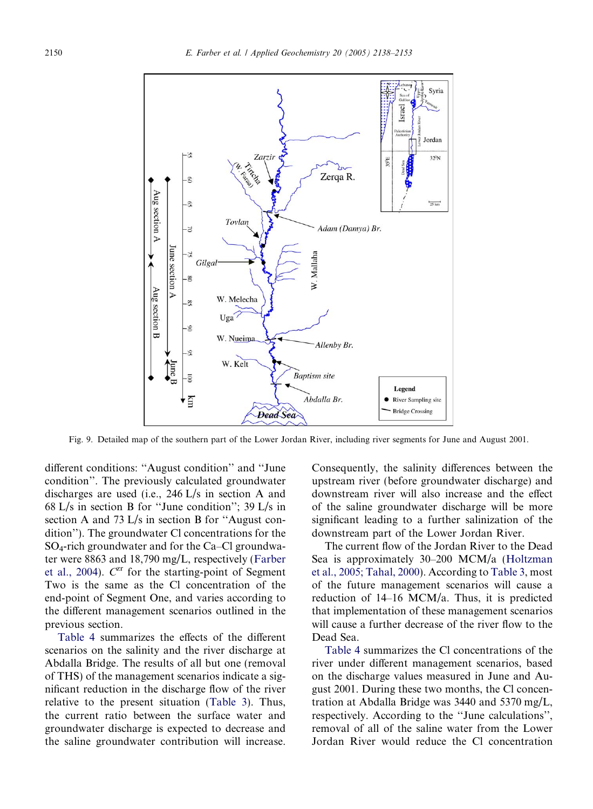<span id="page-12-0"></span>

Fig. 9. Detailed map of the southern part of the Lower Jordan River, including river segments for June and August 2001.

different conditions: ''August condition'' and ''June condition''. The previously calculated groundwater discharges are used (i.e., 246 L/s in section A and 68 L/s in section B for ''June condition''; 39 L/s in section A and 73 L/s in section B for ''August condition''). The groundwater Cl concentrations for the SO4-rich groundwater and for the Ca–Cl groundwater were 8863 and 18,790 mg/L, respectively [\(Farber](#page-15-0) [et al., 2004\)](#page-15-0).  $C^{zr}$  for the starting-point of Segment Two is the same as the Cl concentration of the end-point of Segment One, and varies according to the different management scenarios outlined in the previous section.

[Table 4](#page-13-0) summarizes the effects of the different scenarios on the salinity and the river discharge at Abdalla Bridge. The results of all but one (removal of THS) of the management scenarios indicate a significant reduction in the discharge flow of the river relative to the present situation [\(Table 3\)](#page-10-0). Thus, the current ratio between the surface water and groundwater discharge is expected to decrease and the saline groundwater contribution will increase.

Consequently, the salinity differences between the upstream river (before groundwater discharge) and downstream river will also increase and the effect of the saline groundwater discharge will be more significant leading to a further salinization of the downstream part of the Lower Jordan River.

The current flow of the Jordan River to the Dead Sea is approximately 30–200 MCM/a ([Holtzman](#page-15-0) [et al., 2005; Tahal, 2000](#page-15-0)). According to [Table 3,](#page-10-0) most of the future management scenarios will cause a reduction of 14–16 MCM/a. Thus, it is predicted that implementation of these management scenarios will cause a further decrease of the river flow to the Dead Sea.

[Table 4](#page-13-0) summarizes the Cl concentrations of the river under different management scenarios, based on the discharge values measured in June and August 2001. During these two months, the Cl concentration at Abdalla Bridge was 3440 and 5370 mg/L, respectively. According to the ''June calculations'', removal of all of the saline water from the Lower Jordan River would reduce the Cl concentration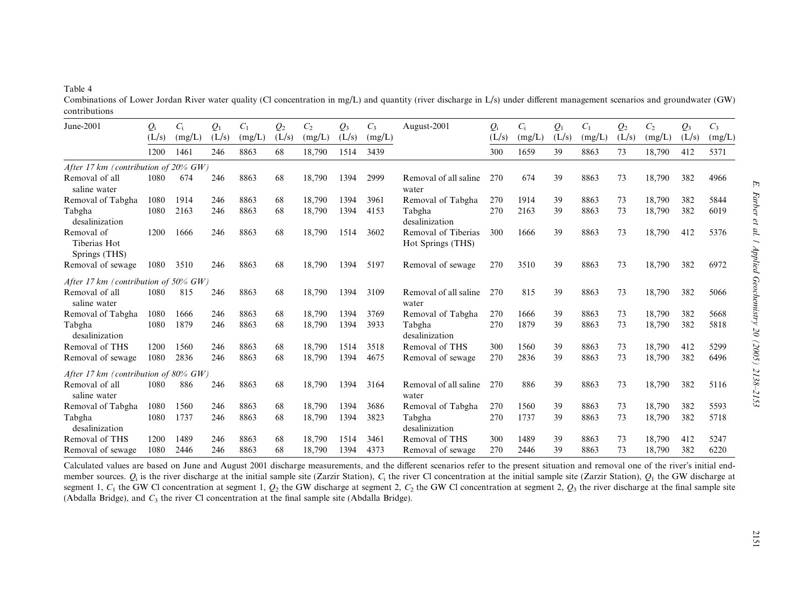# <span id="page-13-0"></span>Table 4

Combinations of Lower Jordan River water quality (Cl concentration in mg/L) and quantity (river discharge in L/s) under different management scenarios and groundwater (GW) contributions

| June-2001                                   | $Q_{\rm i}$                             | $C_i$  | $Q_1$ | $C_1$  | $Q_2$ | $C_{2}$ | $\mathcal{Q}_3$ | $C_3$  | August-2001                              | $Q_i$ | $C_i$  | $Q_1$ | $C_1$  | $Q_2$ | C <sub>2</sub> | $\mathcal{Q}_3$ | $C_3$  |
|---------------------------------------------|-----------------------------------------|--------|-------|--------|-------|---------|-----------------|--------|------------------------------------------|-------|--------|-------|--------|-------|----------------|-----------------|--------|
|                                             | (L/s)                                   | (mg/L) | (L/s) | (mg/L) | (L/s) | (mg/L)  | (L/s)           | (mg/L) |                                          | (L/s) | (mg/L) | (L/s) | (mg/L) | (L/s) | (mg/L)         | (L/s)           | (mg/L) |
|                                             | 1200                                    | 1461   | 246   | 8863   | 68    | 18,790  | 1514            | 3439   |                                          | 300   | 1659   | 39    | 8863   | 73    | 18,790         | 412             | 5371   |
| After 17 km (contribution of $20\%$ GW)     |                                         |        |       |        |       |         |                 |        |                                          |       |        |       |        |       |                |                 |        |
| Removal of all<br>saline water              | 1080                                    | 674    | 246   | 8863   | 68    | 18,790  | 1394            | 2999   | Removal of all saline<br>water           | 270   | 674    | 39    | 8863   | 73    | 18,790         | 382             | 4966   |
| Removal of Tabgha                           | 1080                                    | 1914   | 246   | 8863   | 68    | 18.790  | 1394            | 3961   | Removal of Tabgha                        | 270   | 1914   | 39    | 8863   | 73    | 18,790         | 382             | 5844   |
| Tabgha<br>desalinization                    | 1080                                    | 2163   | 246   | 8863   | 68    | 18,790  | 1394            | 4153   | Tabgha<br>desalinization                 | 270   | 2163   | 39    | 8863   | 73    | 18,790         | 382             | 6019   |
| Removal of<br>Tiberias Hot<br>Springs (THS) | 1200                                    | 1666   | 246   | 8863   | 68    | 18,790  | 1514            | 3602   | Removal of Tiberias<br>Hot Springs (THS) | 300   | 1666   | 39    | 8863   | 73    | 18,790         | 412             | 5376   |
| Removal of sewage                           | 1080                                    | 3510   | 246   | 8863   | 68    | 18,790  | 1394            | 5197   | Removal of sewage                        | 270   | 3510   | 39    | 8863   | 73    | 18,790         | 382             | 6972   |
|                                             | After 17 km (contribution of $50\%$ GW) |        |       |        |       |         |                 |        |                                          |       |        |       |        |       |                |                 |        |
| Removal of all<br>saline water              | 1080                                    | 815    | 246   | 8863   | 68    | 18.790  | 1394            | 3109   | Removal of all saline<br>water           | 270   | 815    | 39    | 8863   | 73    | 18.790         | 382             | 5066   |
| Removal of Tabgha                           | 1080                                    | 1666   | 246   | 8863   | 68    | 18,790  | 1394            | 3769   | Removal of Tabgha                        | 270   | 1666   | 39    | 8863   | 73    | 18,790         | 382             | 5668   |
| Tabgha<br>desalinization                    | 1080                                    | 1879   | 246   | 8863   | 68    | 18,790  | 1394            | 3933   | Tabgha<br>desalinization                 | 270   | 1879   | 39    | 8863   | 73    | 18,790         | 382             | 5818   |
| Removal of THS                              | 1200                                    | 1560   | 246   | 8863   | 68    | 18,790  | 1514            | 3518   | Removal of THS                           | 300   | 1560   | 39    | 8863   | 73    | 18,790         | 412             | 5299   |
| Removal of sewage                           | 1080                                    | 2836   | 246   | 8863   | 68    | 18,790  | 1394            | 4675   | Removal of sewage                        | 270   | 2836   | 39    | 8863   | 73    | 18,790         | 382             | 6496   |
| After 17 km (contribution of 80% $GW$ )     |                                         |        |       |        |       |         |                 |        |                                          |       |        |       |        |       |                |                 |        |
| Removal of all<br>saline water              | 1080                                    | 886    | 246   | 8863   | 68    | 18,790  | 1394            | 3164   | Removal of all saline<br>water           | 270   | 886    | 39    | 8863   | 73    | 18,790         | 382             | 5116   |
| Removal of Tabgha                           | 1080                                    | 1560   | 246   | 8863   | 68    | 18.790  | 1394            | 3686   | Removal of Tabgha                        | 270   | 1560   | 39    | 8863   | 73    | 18,790         | 382             | 5593   |
| Tabgha<br>desalinization                    | 1080                                    | 1737   | 246   | 8863   | 68    | 18,790  | 1394            | 3823   | Tabgha<br>desalinization                 | 270   | 1737   | 39    | 8863   | 73    | 18,790         | 382             | 5718   |
| Removal of THS                              | 1200                                    | 1489   | 246   | 8863   | 68    | 18,790  | 1514            | 3461   | Removal of THS                           | 300   | 1489   | 39    | 8863   | 73    | 18,790         | 412             | 5247   |
| Removal of sewage                           | 1080                                    | 2446   | 246   | 8863   | 68    | 18,790  | 1394            | 4373   | Removal of sewage                        | 270   | 2446   | 39    | 8863   | 73    | 18,790         | 382             | 6220   |

Calculated values are based on June and August 2001 discharge measurements, and the different scenarios refer to the present situation and removal one of the river's initial endmember sources.  $Q_i$  is the river discharge at the initial sample site (Zarzir Station),  $C_i$  the river Cl concentration at the initial sample site (Zarzir Station),  $Q_i$  the GW discharge at segment 1,  $C_1$  the GW Cl concentration at segment 1,  $Q_2$  the GW discharge at segment 2,  $C_2$  the GW Cl concentration at segment 2,  $Q_3$  the river discharge at the final sample site (Abdalla Bridge), and  $C_3$  the river Cl concentration at the final sample site (Abdalla Bridge).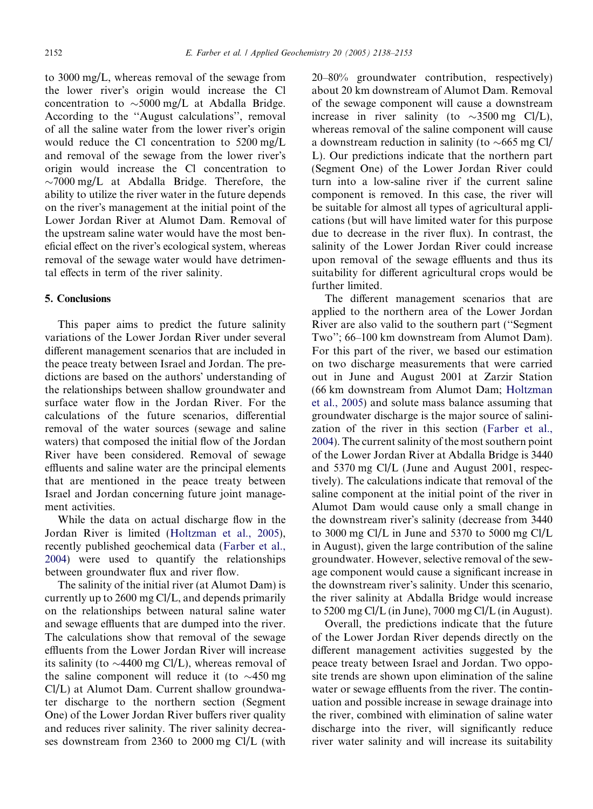to 3000 mg/L, whereas removal of the sewage from the lower river's origin would increase the Cl concentration to  $\sim$  5000 mg/L at Abdalla Bridge. According to the ''August calculations'', removal of all the saline water from the lower river's origin would reduce the Cl concentration to 5200 mg/L and removal of the sewage from the lower river's origin would increase the Cl concentration to  $\sim$ 7000 mg/L at Abdalla Bridge. Therefore, the ability to utilize the river water in the future depends on the river's management at the initial point of the Lower Jordan River at Alumot Dam. Removal of the upstream saline water would have the most beneficial effect on the river's ecological system, whereas removal of the sewage water would have detrimental effects in term of the river salinity.

# 5. Conclusions

This paper aims to predict the future salinity variations of the Lower Jordan River under several different management scenarios that are included in the peace treaty between Israel and Jordan. The predictions are based on the authors' understanding of the relationships between shallow groundwater and surface water flow in the Jordan River. For the calculations of the future scenarios, differential removal of the water sources (sewage and saline waters) that composed the initial flow of the Jordan River have been considered. Removal of sewage effluents and saline water are the principal elements that are mentioned in the peace treaty between Israel and Jordan concerning future joint management activities.

While the data on actual discharge flow in the Jordan River is limited [\(Holtzman et al., 2005](#page-15-0)), recently published geochemical data ([Farber et al.,](#page-15-0) [2004](#page-15-0)) were used to quantify the relationships between groundwater flux and river flow.

The salinity of the initial river (at Alumot Dam) is currently up to 2600 mg Cl/L, and depends primarily on the relationships between natural saline water and sewage effluents that are dumped into the river. The calculations show that removal of the sewage effluents from the Lower Jordan River will increase its salinity (to  $\sim$ 4400 mg Cl/L), whereas removal of the saline component will reduce it (to  $\sim$ 450 mg) Cl/L) at Alumot Dam. Current shallow groundwater discharge to the northern section (Segment One) of the Lower Jordan River buffers river quality and reduces river salinity. The river salinity decreases downstream from 2360 to 2000 mg Cl/L (with

20–80% groundwater contribution, respectively) about 20 km downstream of Alumot Dam. Removal of the sewage component will cause a downstream increase in river salinity (to  $\sim$ 3500 mg Cl/L), whereas removal of the saline component will cause a downstream reduction in salinity (to  $\sim$  665 mg Cl/ L). Our predictions indicate that the northern part (Segment One) of the Lower Jordan River could turn into a low-saline river if the current saline component is removed. In this case, the river will be suitable for almost all types of agricultural applications (but will have limited water for this purpose due to decrease in the river flux). In contrast, the salinity of the Lower Jordan River could increase upon removal of the sewage effluents and thus its suitability for different agricultural crops would be further limited.

The different management scenarios that are applied to the northern area of the Lower Jordan River are also valid to the southern part (''Segment Two''; 66–100 km downstream from Alumot Dam). For this part of the river, we based our estimation on two discharge measurements that were carried out in June and August 2001 at Zarzir Station (66 km downstream from Alumot Dam; [Holtzman](#page-15-0) [et al., 2005](#page-15-0)) and solute mass balance assuming that groundwater discharge is the major source of salinization of the river in this section [\(Farber et al.,](#page-15-0) [2004](#page-15-0)). The current salinity of the most southern point of the Lower Jordan River at Abdalla Bridge is 3440 and 5370 mg Cl/L (June and August 2001, respectively). The calculations indicate that removal of the saline component at the initial point of the river in Alumot Dam would cause only a small change in the downstream river's salinity (decrease from 3440) to 3000 mg Cl/L in June and 5370 to 5000 mg Cl/L in August), given the large contribution of the saline groundwater. However, selective removal of the sewage component would cause a significant increase in the downstream river's salinity. Under this scenario, the river salinity at Abdalla Bridge would increase to 5200 mg Cl/L (in June), 7000 mg Cl/L (in August).

Overall, the predictions indicate that the future of the Lower Jordan River depends directly on the different management activities suggested by the peace treaty between Israel and Jordan. Two opposite trends are shown upon elimination of the saline water or sewage effluents from the river. The continuation and possible increase in sewage drainage into the river, combined with elimination of saline water discharge into the river, will significantly reduce river water salinity and will increase its suitability